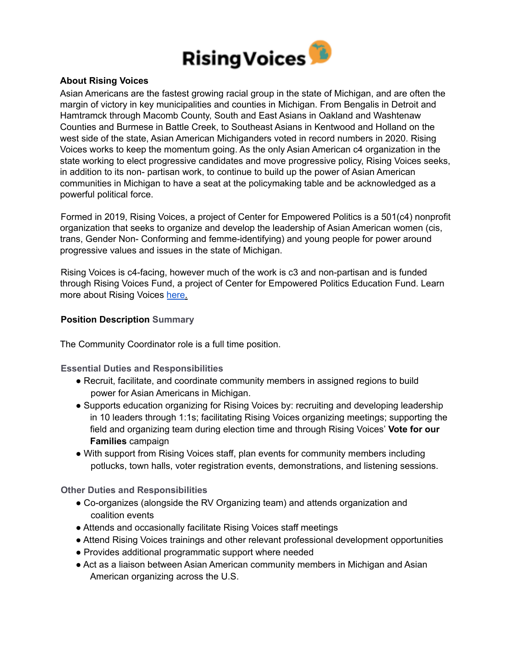

# **About Rising Voices**

Asian Americans are the fastest growing racial group in the state of Michigan, and are often the margin of victory in key municipalities and counties in Michigan. From Bengalis in Detroit and Hamtramck through Macomb County, South and East Asians in Oakland and Washtenaw Counties and Burmese in Battle Creek, to Southeast Asians in Kentwood and Holland on the west side of the state, Asian American Michiganders voted in record numbers in 2020. Rising Voices works to keep the momentum going. As the only Asian American c4 organization in the state working to elect progressive candidates and move progressive policy, Rising Voices seeks, in addition to its non- partisan work, to continue to build up the power of Asian American communities in Michigan to have a seat at the policymaking table and be acknowledged as a powerful political force.

Formed in 2019, Rising Voices, a project of Center for Empowered Politics is a 501(c4) nonprofit organization that seeks to organize and develop the leadership of Asian American women (cis, trans, Gender Non- Conforming and femme-identifying) and young people for power around progressive values and issues in the state of Michigan.

Rising Voices is c4-facing, however much of the work is c3 and non-partisan and is funded through Rising Voices Fund, a project of Center for Empowered Politics Education Fund. Learn more about Rising Voices here.

# **Position Description Summary**

The Community Coordinator role is a full time position.

**Essential Duties and Responsibilities**

- Recruit, facilitate, and coordinate community members in assigned regions to build power for Asian Americans in Michigan.
- Supports education organizing for Rising Voices by: recruiting and developing leadership in 10 leaders through 1:1s; facilitating Rising Voices organizing meetings; supporting the field and organizing team during election time and through Rising Voices' **Vote for our Families** campaign
- With support from Rising Voices staff, plan events for community members including potlucks, town halls, voter registration events, demonstrations, and listening sessions.

**Other Duties and Responsibilities**

- Co-organizes (alongside the RV Organizing team) and attends organization and coalition events
- Attends and occasionally facilitate Rising Voices staff meetings
- Attend Rising Voices trainings and other relevant professional development opportunities
- Provides additional programmatic support where needed
- Act as a liaison between Asian American community members in Michigan and Asian American organizing across the U.S.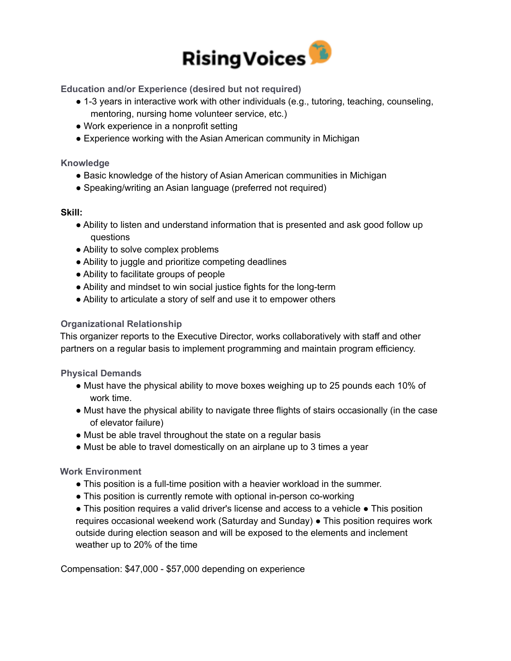

**Education and/or Experience (desired but not required)**

- 1-3 years in interactive work with other individuals (e.g., tutoring, teaching, counseling, mentoring, nursing home volunteer service, etc.)
- Work experience in a nonprofit setting
- Experience working with the Asian American community in Michigan

## **Knowledge**

- Basic knowledge of the history of Asian American communities in Michigan
- Speaking/writing an Asian language (preferred not required)

#### **Skill:**

- Ability to listen and understand information that is presented and ask good follow up questions
- Ability to solve complex problems
- Ability to juggle and prioritize competing deadlines
- Ability to facilitate groups of people
- Ability and mindset to win social justice fights for the long-term
- Ability to articulate a story of self and use it to empower others

# **Organizational Relationship**

This organizer reports to the Executive Director, works collaboratively with staff and other partners on a regular basis to implement programming and maintain program efficiency.

**Physical Demands**

- Must have the physical ability to move boxes weighing up to 25 pounds each 10% of work time.
- Must have the physical ability to navigate three flights of stairs occasionally (in the case of elevator failure)
- Must be able travel throughout the state on a regular basis
- Must be able to travel domestically on an airplane up to 3 times a year

# **Work Environment**

- This position is a full-time position with a heavier workload in the summer.
- This position is currently remote with optional in-person co-working

● This position requires a valid driver's license and access to a vehicle ● This position requires occasional weekend work (Saturday and Sunday) ● This position requires work outside during election season and will be exposed to the elements and inclement weather up to 20% of the time

Compensation: \$47,000 - \$57,000 depending on experience